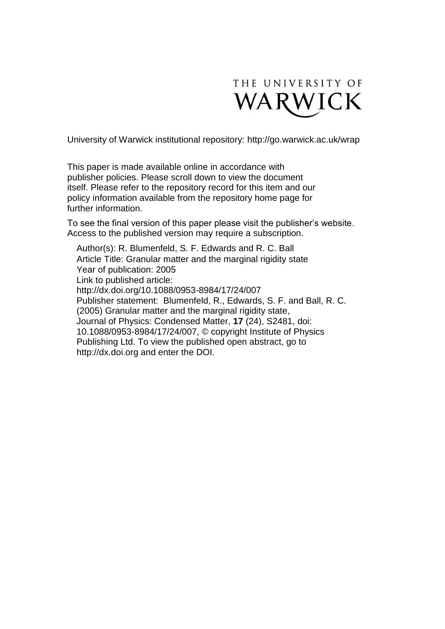

University of Warwick institutional repository:<http://go.warwick.ac.uk/wrap>

This paper is made available online in accordance with publisher policies. Please scroll down to view the document itself. Please refer to the repository record for this item and our policy information available from the repository home page for further information.

To see the final version of this paper please visit the publisher's website. Access to the published version may require a subscription.

Author(s): R. Blumenfeld, S. F. Edwards and R. C. Ball Article Title: Granular matter and the marginal rigidity state Year of publication: 2005 Link to published article: http://dx.doi.org/10.1088/0953-8984/17/24/007 Publisher statement: Blumenfeld, R., Edwards, S. F. and Ball, R. C. (2005) Granular matter and the marginal rigidity state, Journal of Physics: Condensed Matter, **17** (24), S2481, doi: 10.1088/0953-8984/17/24/007, © copyright Institute of Physics Publishing Ltd. To view the published open abstract, go to http://dx.doi.org and enter the DOI.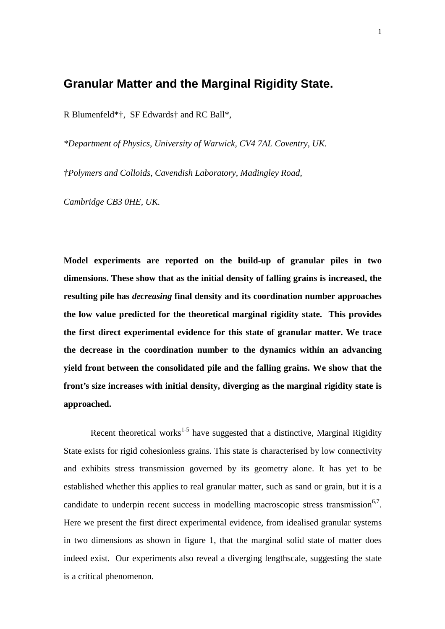## **Granular Matter and the Marginal Rigidity State.**

R Blumenfeld\*†, SF Edwards† and RC Ball\*,

*\*Department of Physics, University of Warwick, CV4 7AL Coventry, UK.*

*†Polymers and Colloids, Cavendish Laboratory, Madingley Road,*

*Cambridge CB3 0HE, UK.*

**Model experiments are reported on the build-up of granular piles in two dimensions. These show that as the initial density of falling grains is increased, the resulting pile has** *decreasing* **final density and its coordination number approaches the low value predicted for the theoretical marginal rigidity state. This provides the first direct experimental evidence for this state of granular matter. We trace the decrease in the coordination number to the dynamics within an advancing yield front between the consolidated pile and the falling grains. We show that the front's size increases with initial density, diverging as the marginal rigidity state is approached.**

Recent theoretical works<sup>1-5</sup> have suggested that a distinctive, Marginal Rigidity State exists for rigid cohesionless grains. This state is characterised by low connectivity and exhibits stress transmission governed by its geometry alone. It has yet to be established whether this applies to real granular matter, such as sand or grain, but it is a candidate to underpin recent success in modelling macroscopic stress transmission<sup>6,7</sup>. Here we present the first direct experimental evidence, from idealised granular systems in two dimensions as shown in figure 1, that the marginal solid state of matter does indeed exist. Our experiments also reveal a diverging lengthscale, suggesting the state is a critical phenomenon.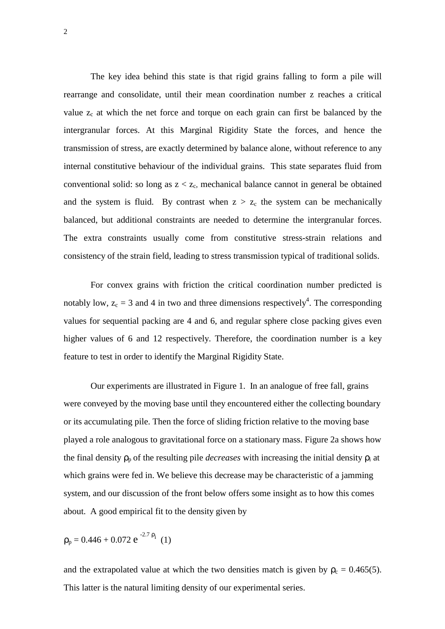The key idea behind this state is that rigid grains falling to form a pile will rearrange and consolidate, until their mean coordination number z reaches a critical value  $z_c$  at which the net force and torque on each grain can first be balanced by the intergranular forces. At this Marginal Rigidity State the forces, and hence the transmission of stress, are exactly determined by balance alone, without reference to any internal constitutive behaviour of the individual grains. This state separates fluid from conventional solid: so long as  $z < z_c$ , mechanical balance cannot in general be obtained and the system is fluid. By contrast when  $z > z_c$  the system can be mechanically balanced, but additional constraints are needed to determine the intergranular forces. The extra constraints usually come from constitutive stress-strain relations and consistency of the strain field, leading to stress transmission typical of traditional solids.

For convex grains with friction the critical coordination number predicted is notably low,  $z_c = 3$  and 4 in two and three dimensions respectively<sup>4</sup>. The corresponding values for sequential packing are 4 and 6, and regular sphere close packing gives even higher values of 6 and 12 respectively. Therefore, the coordination number is a key feature to test in order to identify the Marginal Rigidity State.

Our experiments are illustrated in Figure 1. In an analogue of free fall, grains were conveyed by the moving base until they encountered either the collecting boundary or its accumulating pile. Then the force of sliding friction relative to the moving base played a role analogous to gravitational force on a stationary mass. Figure 2a shows how the final density  $\rho_p$  of the resulting pile *decreases* with increasing the initial density  $\rho_i$  at which grains were fed in. We believe this decrease may be characteristic of a jamming system, and our discussion of the front below offers some insight as to how this comes about. A good empirical fit to the density given by

$$
\rho_p = 0.446 + 0.072 \ e^{-2.7 \ \rho_i} \ (1)
$$

and the extrapolated value at which the two densities match is given by  $\rho_c = 0.465(5)$ . This latter is the natural limiting density of our experimental series.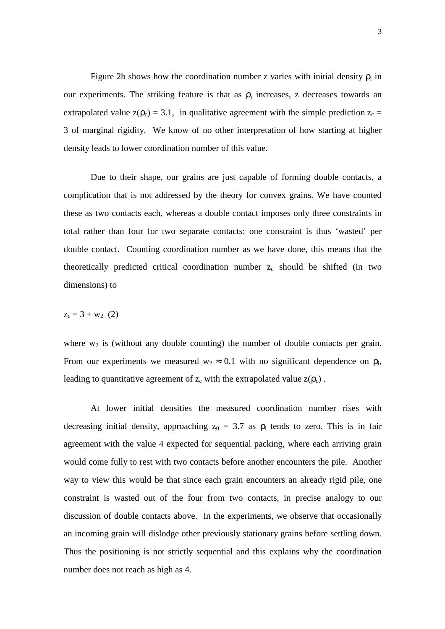Figure 2b shows how the coordination number z varies with initial density  $\rho_i$  in our experiments. The striking feature is that as  $\rho_i$  increases, z decreases towards an extrapolated value  $z(\rho_c) = 3.1$ , in qualitative agreement with the simple prediction  $z_c =$ 3 of marginal rigidity. We know of no other interpretation of how starting at higher density leads to lower coordination number of this value.

Due to their shape, our grains are just capable of forming double contacts, a complication that is not addressed by the theory for convex grains. We have counted these as two contacts each, whereas a double contact imposes only three constraints in total rather than four for two separate contacts: one constraint is thus 'wasted' per double contact. Counting coordination number as we have done, this means that the theoretically predicted critical coordination number  $z_c$  should be shifted (in two dimensions) to

$$
z_c = 3 + w_2 \ (2)
$$

where  $w_2$  is (without any double counting) the number of double contacts per grain. From our experiments we measured  $w_2 \approx 0.1$  with no significant dependence on  $\rho_i$ , leading to quantitative agreement of  $z_c$  with the extrapolated value  $z(\rho_c)$ .

At lower initial densities the measured coordination number rises with decreasing initial density, approaching  $z_0 = 3.7$  as  $\rho_i$  tends to zero. This is in fair agreement with the value 4 expected for sequential packing, where each arriving grain would come fully to rest with two contacts before another encounters the pile. Another way to view this would be that since each grain encounters an already rigid pile, one constraint is wasted out of the four from two contacts, in precise analogy to our discussion of double contacts above. In the experiments, we observe that occasionally an incoming grain will dislodge other previously stationary grains before settling down. Thus the positioning is not strictly sequential and this explains why the coordination number does not reach as high as 4.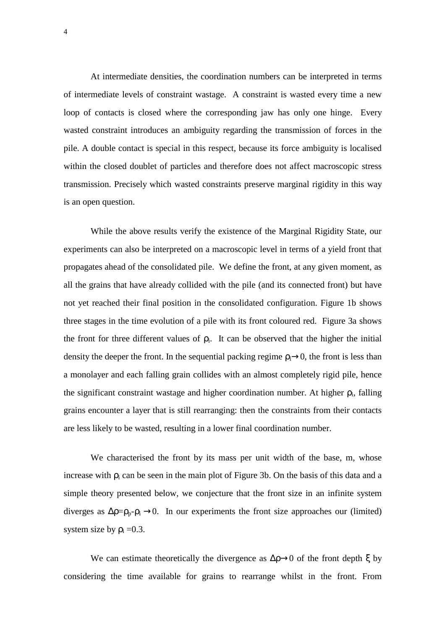At intermediate densities, the coordination numbers can be interpreted in terms of intermediate levels of constraint wastage. A constraint is wasted every time a new loop of contacts is closed where the corresponding jaw has only one hinge. Every wasted constraint introduces an ambiguity regarding the transmission of forces in the pile. A double contact is special in this respect, because its force ambiguity is localised within the closed doublet of particles and therefore does not affect macroscopic stress transmission. Precisely which wasted constraints preserve marginal rigidity in this way is an open question.

While the above results verify the existence of the Marginal Rigidity State, our experiments can also be interpreted on a macroscopic level in terms of a yield front that propagates ahead of the consolidated pile. We define the front, at any given moment, as all the grains that have already collided with the pile (and its connected front) but have not yet reached their final position in the consolidated configuration. Figure 1b shows three stages in the time evolution of a pile with its front coloured red. Figure 3a shows the front for three different values of  $\rho_i$ . It can be observed that the higher the initial density the deeper the front. In the sequential packing regime  $\rho_i \rightarrow 0$ , the front is less than a monolayer and each falling grain collides with an almost completely rigid pile, hence the significant constraint wastage and higher coordination number. At higher  $\rho_i$ , falling grains encounter a layer that is still rearranging: then the constraints from their contacts are less likely to be wasted, resulting in a lower final coordination number.

We characterised the front by its mass per unit width of the base, m, whose increase with  $\rho_i$  can be seen in the main plot of Figure 3b. On the basis of this data and a simple theory presented below, we conjecture that the front size in an infinite system diverges as  $\Delta \rho = \rho_n - \rho_i \rightarrow 0$ . In our experiments the front size approaches our (limited) system size by  $\rho_i = 0.3$ .

We can estimate theoretically the divergence as  $\Delta \rho \rightarrow 0$  of the front depth  $\xi$  by considering the time available for grains to rearrange whilst in the front. From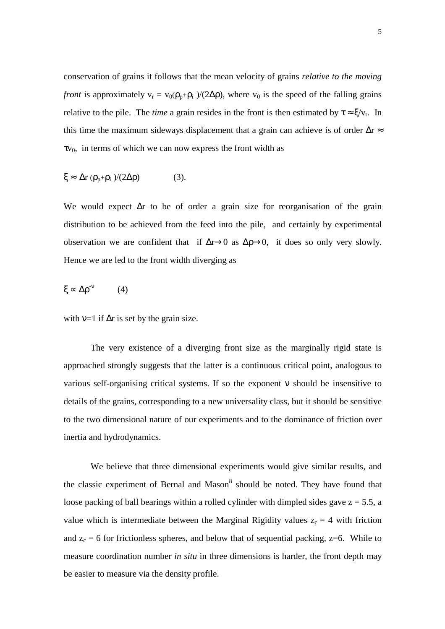conservation of grains it follows that the mean velocity of grains *relative to the moving front* is approximately  $v_r = v_0(\rho_p + \rho_i)/(2\Delta\rho)$ , where  $v_0$  is the speed of the falling grains relative to the pile. The *time* a grain resides in the front is then estimated by  $\tau \approx \xi/v_r$ . In this time the maximum sideways displacement that a grain can achieve is of order  $\Delta r \approx$  $\tau v_0$ , in terms of which we can now express the front width as

$$
\xi \approx \Delta r \, (\rho_p + \rho_i \, )/(2\Delta \rho) \tag{3}.
$$

We would expect ∆r to be of order a grain size for reorganisation of the grain distribution to be achieved from the feed into the pile, and certainly by experimental observation we are confident that if  $\Delta r \rightarrow 0$  as  $\Delta \rho \rightarrow 0$ , it does so only very slowly. Hence we are led to the front width diverging as

$$
\xi \propto \Delta \rho^{\nu} \tag{4}
$$

with  $v=1$  if  $\Delta r$  is set by the grain size.

The very existence of a diverging front size as the marginally rigid state is approached strongly suggests that the latter is a continuous critical point, analogous to various self-organising critical systems. If so the exponent ν should be insensitive to details of the grains, corresponding to a new universality class, but it should be sensitive to the two dimensional nature of our experiments and to the dominance of friction over inertia and hydrodynamics.

We believe that three dimensional experiments would give similar results, and the classic experiment of Bernal and Mason<sup>8</sup> should be noted. They have found that loose packing of ball bearings within a rolled cylinder with dimpled sides gave  $z = 5.5$ , a value which is intermediate between the Marginal Rigidity values  $z_c = 4$  with friction and  $z_c = 6$  for frictionless spheres, and below that of sequential packing,  $z=6$ . While to measure coordination number *in situ* in three dimensions is harder, the front depth may be easier to measure via the density profile.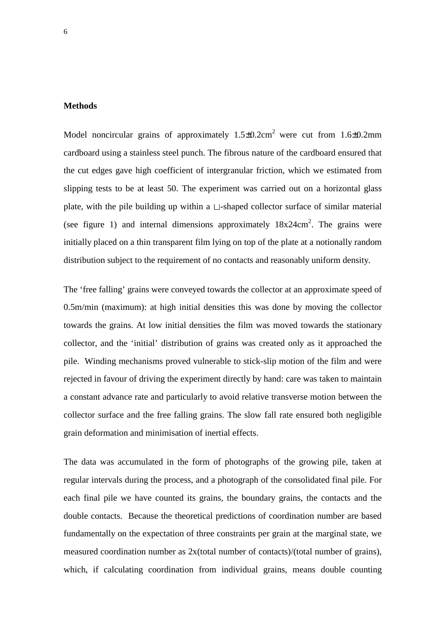## **Methods**

Model noncircular grains of approximately  $1.5\pm0.2$ cm<sup>2</sup> were cut from  $1.6\pm0.2$ mm cardboard using a stainless steel punch. The fibrous nature of the cardboard ensured that the cut edges gave high coefficient of intergranular friction, which we estimated from slipping tests to be at least 50. The experiment was carried out on a horizontal glass plate, with the pile building up within a  $\sqcup$ -shaped collector surface of similar material (see figure 1) and internal dimensions approximately  $18x24cm^2$ . The grains were initially placed on a thin transparent film lying on top of the plate at a notionally random distribution subject to the requirement of no contacts and reasonably uniform density.

The 'free falling' grains were conveyed towards the collector at an approximate speed of 0.5m/min (maximum): at high initial densities this was done by moving the collector towards the grains. At low initial densities the film was moved towards the stationary collector, and the 'initial' distribution of grains was created only as it approached the pile. Winding mechanisms proved vulnerable to stick-slip motion of the film and were rejected in favour of driving the experiment directly by hand: care was taken to maintain a constant advance rate and particularly to avoid relative transverse motion between the collector surface and the free falling grains. The slow fall rate ensured both negligible grain deformation and minimisation of inertial effects.

The data was accumulated in the form of photographs of the growing pile, taken at regular intervals during the process, and a photograph of the consolidated final pile. For each final pile we have counted its grains, the boundary grains, the contacts and the double contacts. Because the theoretical predictions of coordination number are based fundamentally on the expectation of three constraints per grain at the marginal state, we measured coordination number as 2x(total number of contacts)/(total number of grains), which, if calculating coordination from individual grains, means double counting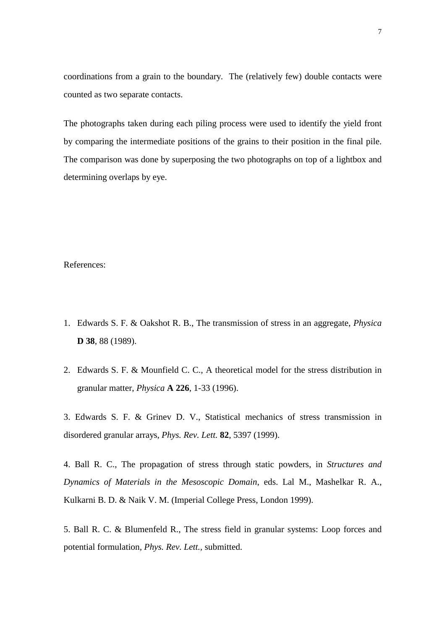coordinations from a grain to the boundary. The (relatively few) double contacts were counted as two separate contacts.

The photographs taken during each piling process were used to identify the yield front by comparing the intermediate positions of the grains to their position in the final pile. The comparison was done by superposing the two photographs on top of a lightbox and determining overlaps by eye.

References:

- 1. Edwards S. F. & Oakshot R. B., The transmission of stress in an aggregate, *Physica* **D 38**, 88 (1989).
- 2. Edwards S. F. & Mounfield C. C., A theoretical model for the stress distribution in granular matter, *Physica* **A 226**, 1-33 (1996).

3. Edwards S. F. & Grinev D. V., Statistical mechanics of stress transmission in disordered granular arrays, *Phys. Rev. Lett.* **82**, 5397 (1999).

4. Ball R. C., The propagation of stress through static powders, in *Structures and Dynamics of Materials in the Mesoscopic Domain*, eds. Lal M., Mashelkar R. A., Kulkarni B. D. & Naik V. M. (Imperial College Press, London 1999).

5. Ball R. C. & Blumenfeld R., The stress field in granular systems: Loop forces and potential formulation, *Phys. Rev. Lett.,* submitted.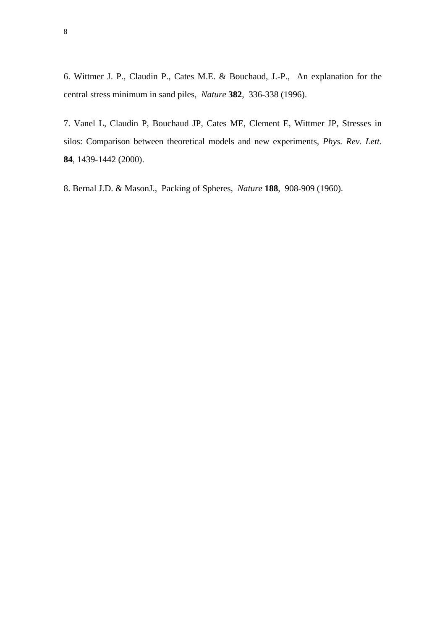6. Wittmer J. P., Claudin P., Cates M.E. & Bouchaud, J.-P., An explanation for the central stress minimum in sand piles, *Nature* **382**, 336-338 (1996).

7. Vanel L, Claudin P, Bouchaud JP, Cates ME, Clement E, Wittmer JP, Stresses in silos: Comparison between theoretical models and new experiments, *Phys. Rev. Lett.* **84**, 1439-1442 (2000).

8. Bernal J.D. & MasonJ., Packing of Spheres, *Nature* **188**, 908-909 (1960).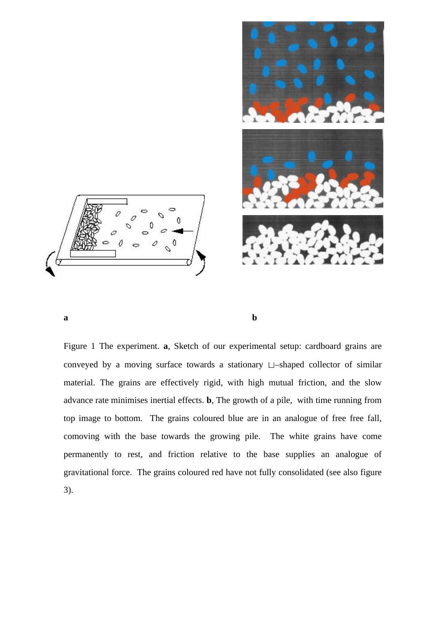

## **a b**

Figure 1 The experiment. **a**, Sketch of our experimental setup: cardboard grains are conveyed by a moving surface towards a stationary  $\Box$ -shaped collector of similar material. The grains are effectively rigid, with high mutual friction, and the slow advance rate minimises inertial effects. **b**, The growth of a pile, with time running from top image to bottom. The grains coloured blue are in an analogue of free free fall, comoving with the base towards the growing pile. The white grains have come permanently to rest, and friction relative to the base supplies an analogue of gravitational force. The grains coloured red have not fully consolidated (see also figure 3).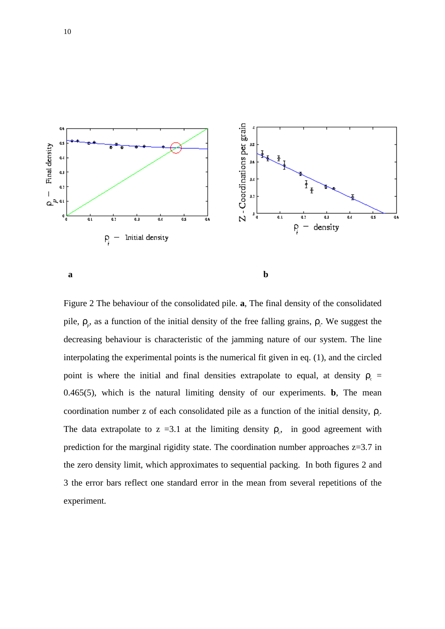

**a b**

Figure 2 The behaviour of the consolidated pile. **a**, The final density of the consolidated pile,  $\rho_{\rho}$ , as a function of the initial density of the free falling grains,  $\rho_{\rho}$ . We suggest the decreasing behaviour is characteristic of the jamming nature of our system. The line interpolating the experimental points is the numerical fit given in eq. (1), and the circled point is where the initial and final densities extrapolate to equal, at density  $\rho_c$  = 0.465(5), which is the natural limiting density of our experiments. **b**, The mean coordination number z of each consolidated pile as a function of the initial density,  $\rho$ <sub>i</sub>. The data extrapolate to z = 3.1 at the limiting density  $\rho_c$ , in good agreement with prediction for the marginal rigidity state. The coordination number approaches  $z=3.7$  in the zero density limit, which approximates to sequential packing. In both figures 2 and 3 the error bars reflect one standard error in the mean from several repetitions of the experiment.